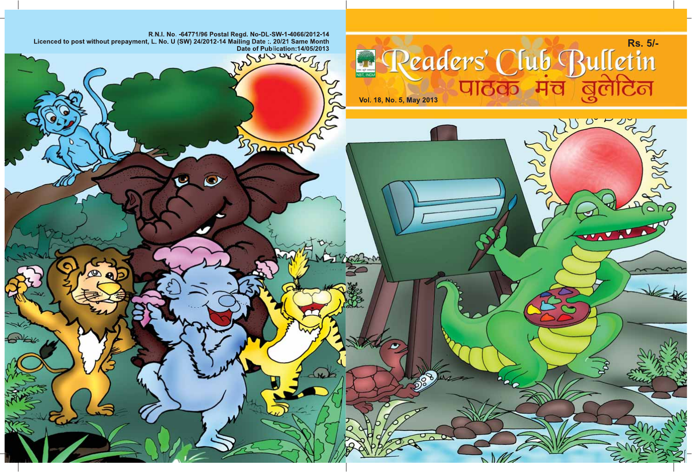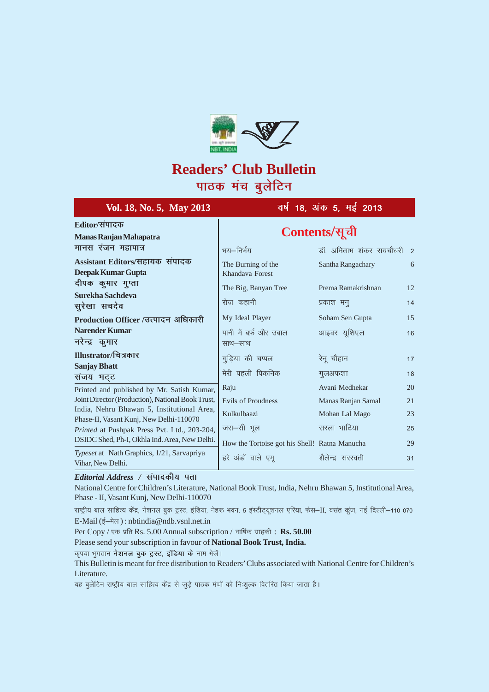

# **Readers' Club Bulletin**

पाठक मंच बुलेटिन

| वर्ष 18, अंक 5, मई 2013<br>Vol. 18, No. 5, May 2013                                                                                                                                                                                                                                       |                                                                                                          |                                                                       |                            |
|-------------------------------------------------------------------------------------------------------------------------------------------------------------------------------------------------------------------------------------------------------------------------------------------|----------------------------------------------------------------------------------------------------------|-----------------------------------------------------------------------|----------------------------|
| Editor/संपादक<br><b>Manas Ranjan Mahapatra</b><br>मानस रंजन महापात्र                                                                                                                                                                                                                      | Contents/सूची<br>डॉ अमिताभ शंकर रायचौधरी<br>भय—निर्भय                                                    |                                                                       |                            |
| Assistant Editors/सहायक संपादक<br>Deepak Kumar Gupta                                                                                                                                                                                                                                      | The Burning of the<br>Khandava Forest                                                                    | Santha Rangachary                                                     | $\overline{2}$<br>6        |
| दीपक कुमार गुप्ता<br>Surekha Sachdeva<br>सुरेखा सचदेव                                                                                                                                                                                                                                     | The Big, Banyan Tree<br>रोज कहानी                                                                        | Prema Ramakrishnan<br>प्रकाश मन्                                      | 12<br>14                   |
| Production Officer /उत्पादन अधिकारी<br><b>Narender Kumar</b><br>नरेन्द्र कुमार                                                                                                                                                                                                            | My Ideal Player<br>पानी में बर्फ़ और उबाल<br>साथ-साथ                                                     | Soham Sen Gupta<br>आइवर यूशिएल                                        | 15<br>16                   |
| Illustrator/चित्रकार<br><b>Sanjay Bhatt</b><br>संजय भट्ट                                                                                                                                                                                                                                  | गुड़िया की चप्पल<br>मेरी पहली पिकनिक                                                                     | रेनू चौहान<br>गुलअफशा                                                 | 17<br>18                   |
| Printed and published by Mr. Satish Kumar,<br>Joint Director (Production), National Book Trust,<br>India, Nehru Bhawan 5, Institutional Area,<br>Phase-II, Vasant Kunj, New Delhi-110070<br>Printed at Pushpak Press Pvt. Ltd., 203-204,<br>DSIDC Shed, Ph-I, Okhla Ind. Area, New Delhi. | Raju<br>Evils of Proudness<br>Kulkulbaazi<br>जरा—सी भूल<br>How the Tortoise got his Shell! Ratna Manucha | Avani Medhekar<br>Manas Ranjan Samal<br>Mohan Lal Mago<br>सरला भाटिया | 20<br>21<br>23<br>25<br>29 |
| <i>Typeset</i> at Nath Graphics, 1/21, Sarvapriya<br>Vihar, New Delhi.                                                                                                                                                                                                                    | हरे अंडों वाले एमू                                                                                       | शैलेन्द्र सरस्वती                                                     | 31                         |

#### *Editorial Address / संपादकीय पता*

National Centre for Children's Literature, National Book Trust, India, Nehru Bhawan 5, Institutional Area, Phase - II, Vasant Kunj, New Delhi-110070

राष्ट्रीय बाल साहित्य केंद्र, नेशनल बुक ट्रस्ट, इंडिया, नेहरू भवन, 5 इंस्टीट्यूशनल एरिया, फेस–II, वसंत कुंज, नई दिल्ली–110 070  $E\text{-Mail}$  (ई–मेल): nbtindia@ndb.vsnl.net.in

Per Copy / एक प्रति Rs. 5.00 Annual subscription / वार्षिक ग्राहकी: Rs. 50.00

Please send your subscription in favour of **National Book Trust, India.**

कृपया भुगतान **नेशनल बुक ट्रस्ट, इंडिया के** नाम भेजें।

This Bulletin is meant for free distribution to Readers' Clubs associated with National Centre for Children's Literature.

यह बुलेटिन राष्ट्रीय बाल साहित्य केंद्र से जुड़े पाठक मंचों को निःशुल्क वितरित किया जाता है।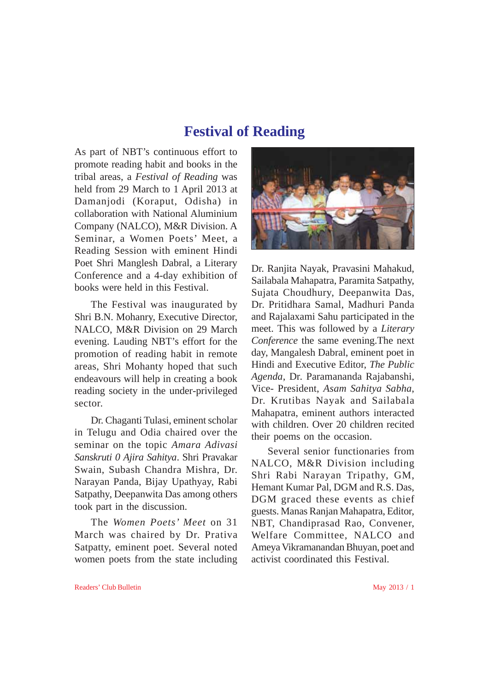## **Festival of Reading**

As part of NBT's continuous effort to promote reading habit and books in the tribal areas, a *Festival of Reading* was held from 29 March to 1 April 2013 at Damanjodi (Koraput, Odisha) in collaboration with National Aluminium Company (NALCO), M&R Division. A Seminar, a Women Poets' Meet, a Reading Session with eminent Hindi Poet Shri Manglesh Dabral, a Literary Conference and a 4-day exhibition of books were held in this Festival.

The Festival was inaugurated by Shri B.N. Mohanry, Executive Director, NALCO, M&R Division on 29 March evening. Lauding NBT's effort for the promotion of reading habit in remote areas, Shri Mohanty hoped that such endeavours will help in creating a book reading society in the under-privileged sector.

Dr. Chaganti Tulasi, eminent scholar in Telugu and Odia chaired over the seminar on the topic *Amara Adivasi Sanskruti 0 Ajira Sahitya*. Shri Pravakar Swain, Subash Chandra Mishra, Dr. Narayan Panda, Bijay Upathyay, Rabi Satpathy, Deepanwita Das among others took part in the discussion.

The *Women Poets' Meet* on 31 March was chaired by Dr. Prativa Satpatty, eminent poet. Several noted women poets from the state including



Dr. Ranjita Nayak, Pravasini Mahakud, Sailabala Mahapatra, Paramita Satpathy, Sujata Choudhury, Deepanwita Das, Dr. Pritidhara Samal, Madhuri Panda and Rajalaxami Sahu participated in the meet. This was followed by a *Literary Conference* the same evening.The next day, Mangalesh Dabral, eminent poet in Hindi and Executive Editor, *The Public Agenda*, Dr. Paramananda Rajabanshi, Vice- President, *Asam Sahitya Sabha*, Dr. Krutibas Nayak and Sailabala Mahapatra, eminent authors interacted with children. Over 20 children recited their poems on the occasion.

Several senior functionaries from NALCO, M&R Division including Shri Rabi Narayan Tripathy, GM, Hemant Kumar Pal, DGM and R.S. Das, DGM graced these events as chief guests. Manas Ranjan Mahapatra, Editor, NBT, Chandiprasad Rao, Convener, Welfare Committee, NALCO and Ameya Vikramanandan Bhuyan, poet and activist coordinated this Festival.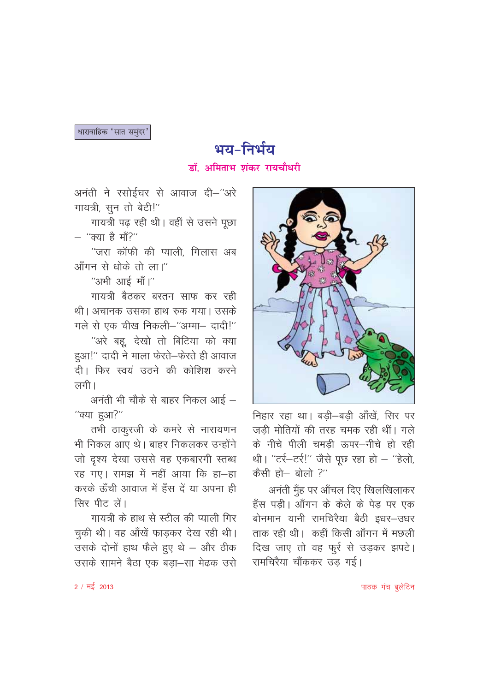धारावाहिक 'सात समुंदर'

## भय-निर्भय

डॉ. अमिताभ शंकर रायचौधरी

अनंती ने रसोईघर से आवाज दी-"अरे गायत्री, सुन तो बेटी!"

गायत्री पढ़ रही थी। वहीं से उसने पूछा - "क्या है माँ?"

"जरा कॉफी की प्याली. गिलास अब आँगन से धोके तो ला।"

"अभी आई माँ।"

गायत्री बैठकर बरतन साफ कर रही थी। अचानक उसका हाथ रुक गया। उसके गले से एक चीख निकली-"अम्मा- दादी!"

"अरे बहू, देखो तो बिटिया को क्या हुआ!" दादी ने माला फेरते–फेरते ही आवाज दी। फिर स्वयं उतने की कोशिश करने लगी।

अनंती भी चौके से बाहर निकल आई – "क्या हुआ?"

तभी ठाकूरजी के कमरे से नारायणन भी निकल आए थे। बाहर निकलकर उन्होंने जो दृश्य देखा उससे वह एकबारगी स्तब्ध रह गए। समझ में नहीं आया कि हा-हा करके ऊँची आवाज में हँस दें या अपना ही सिर पीट लें।

गायत्री के हाथ से स्टील की प्याली गिर चुकी थी। वह आँखें फाड़कर देख रही थी। उसके दोनों हाथ फैले हुए थे – और ठीक उसके सामने बैठा एक बड़ा-सा मेढक उसे



निहार रहा था। बडी-बडी आँखें, सिर पर जड़ी मोतियों की तरह चमक रही थीं। गले के नीचे पीली चमडी ऊपर—नीचे हो रही थी। "टर्र-टर्र!" जैसे पूछ रहा हो - "हेलो, कैसी हो— बोलो ?"

अनंती मुँह पर आँचल दिए खिलखिलाकर हँस पड़ी। आँगन के केले के पेड पर एक बोनमान यानी रामचिरैया बैठी इधर—उधर ताक रही थी। कहीं किसी आँगन में मछली दिख जाए तो वह फूर्र से उड़कर झपटे। रामचिरैया चौंककर उड़ गई।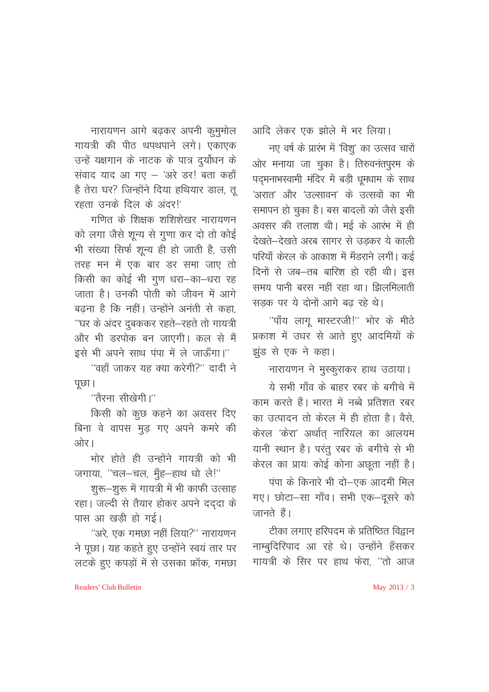नारायणन आगे बढ़कर अपनी कुमुमोल गायत्री की पीठ थपथपाने लगे। एकाएक उन्हें यक्षगान के नाटक के पात्र दुर्योधन के संवाद याद आ गए - 'अरे डर! बता कहाँ है तेरा घर? जिन्होंने दिया हथियार डाल, तू रहता उनके दिल के अंदर।'

गणित के शिक्षक शशिशेखर नारायणन को लगा जैसे शून्य से गुणा कर दो तो कोई भी संख्या सिर्फ शून्य ही हो जाती है, उसी तरह मन में एक बार डर समा जाए तो किसी का कोई भी गुण धरा-का-धरा रह जाता है। उनकी पोती को जीवन में आगे बढना है कि नहीं। उन्होंने अनंती से कहा, "घर के अंदर दुबककर रहते–रहते तो गायत्री और भी डरपोक बन जाएगी। कल से मैं इसे भी अपने साथ पंपा में ले जाऊँगा।"

''वहाँ जाकर यह क्या करेगी?'' दादी ने पूछा ।

''तैरना सीखेगी।''

किसी को कूछ कहने का अवसर दिए बिना वे वापस मुड़ गए अपने कमरे की ओर।

भोर होते ही उन्होंने गायत्री को भी जगाया, "चल-चल, मुँह-हाथ धो ले!"

शूरू–शूरू में गायत्री में भी काफी उत्साह रहा। जल्दी से तैयार होकर अपने दददा के पास आ खड़ी हो गई।

"अरे, एक गमछा नहीं लिया?" नारायणन ने पूछा। यह कहते हुए उन्होंने स्वयं तार पर लटके हुए कपड़ों में से उसका फ्रॉक, गमछा

आदि लेकर एक झोले में भर लिया।

नए वर्ष के प्रारंभ में 'विशू' का उत्सव चारों ओर मनाया जा चुका है। तिरुवनंतपुरम के पदमनाभस्वामी मंदिर में बड़ी धुमधाम के साथ 'अरात' और 'उल्सावन' के उत्सवों का भी समापन हो चूका है। बस बादलों को जैसे इसी अवसर की तलाश थी। मई के आरंभ में ही देखते—देखते अरब सागर से उड़कर ये काली परियाँ केरल के आकाश में मँडराने लगीं। कई दिनों से जब-तब बारिश हो रही थी। इस समय पानी बरस नहीं रहा था। झिलमिलाती सड़क पर ये दोनों आगे बढ रहे थे।

"पाँय लागू मास्टरजी!" भोर के मीठे प्रकाश में उधर से आते हुए आदमियों के झुंड से एक ने कहा।

नारायणन ने मुस्कुराकर हाथ उठाया।

ये सभी गाँव के बाहर रबर के बगीचे में काम करते हैं। भारत में नब्बे प्रतिशत रबर का उत्पादन तो केरल में ही होता है। वैसे, केरल 'केरा' अर्थात् नारियल का आलयम यानी स्थान है। परंतु रबर के बगीचे से भी केरल का प्रायः कोई कोना अछूता नहीं है।

पंपा के किनारे भी दो–एक आदमी मिल गए। छोटा-सा गाँव। सभी एक-दूसरे को जानते हैं।

टीका लगाए हरिपदम के प्रतिष्ठित विद्वान नाम्बुदिरिपाद आ रहे थे। उन्होंने हँसकर गायत्री के सिर पर हाथ फेरा, "तो आज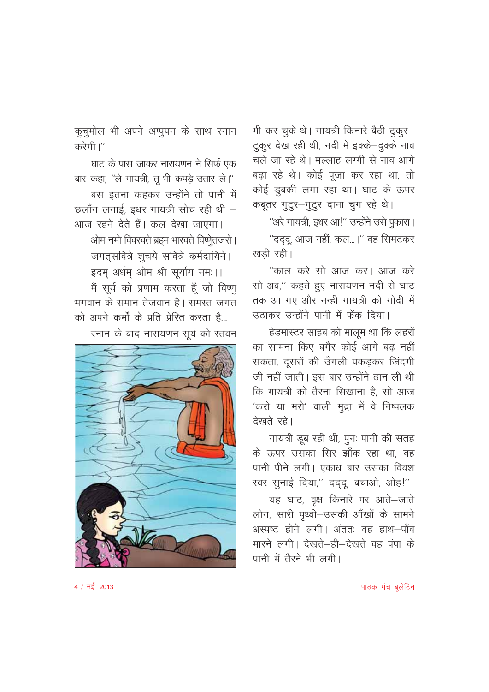कुचुमोल भी अपने अप्पुपन के साथ स्नान करेगी।''

घाट के पास जाकर नारायणन ने सिर्फ एक बार कहा, "ले गायत्री, तू भी कपड़े उतार ले।" बस इतना कहकर उन्होंने तो पानी में

छलाँग लगाई. इधर गायत्री सोच रही थी -आज रहने देते हैं। कल देखा जाएगा।

ओम नमो विवस्वते ब्रह्म भास्वते विष्णुतजसे । जगतसवित्रे शूचये सवित्रे कर्मदायिने।

इदम् अर्धम् ओम श्री सूर्याय नमः ।। मैं सूर्य को प्रणाम करता हूँ जो विष्णु भगवान के समान तेजवान है। समस्त जगत को अपने कर्मों के प्रति प्रेरित करता है

स्नान के बाद नारायणन सूर्य को स्तवन



भी कर चुके थे। गायत्री किनारे बैठी टुकुर-टूकूर देख रही थी, नदी में इक्के-दुक्के नाव चले जा रहे थे। मल्लाह लग्गी से नाव आगे बढ़ा रहे थे। कोई पूजा कर रहा था, तो कोई डूबकी लगा रहा था। घाट के ऊपर कबूतर गुटुर-गुटुर दाना चुग रहे थे।

"अरे गायत्री, इधर आ!" उन्होंने उसे पुकारा।

''दददू, आज नहीं, कल…।'' वह सिमटकर खडी रही।

''काल करे सो आज कर। आज करे सो अब," कहते हुए नारायणन नदी से घाट तक आ गए और नन्ही गायत्री को गोदी में उठाकर उन्होंने पानी में फेंक दिया।

हेडमास्टर साहब को मालूम था कि लहरों का सामना किए बगैर कोई आगे बढ़ नहीं सकता, दूसरों की उँगली पकड़कर जिंदगी जी नहीं जाती। इस बार उन्होंने ठान ली थी कि गायत्री को तैरना सिखाना है, सो आज 'करो या मरो' वाली मुद्रा में वे निष्पलक देखते रहे।

गायत्री डूब रही थी, पुनः पानी की सतह के ऊपर उसका सिर झाँक रहा था, वह पानी पीने लगी। एकाध बार उसका विवश स्वर सुनाई दिया," दद्दू, बचाओ, ओह!" यह घाट, वृक्ष किनारे पर आते-जाते

लोग, सारी पृथ्वी-उसकी आँखों के सामने अस्पष्ट होने लगी। अंतत: वह हाथ-पाँव मारने लगी। देखते–ही–देखते वह पंपा के पानी में तैरने भी लगी।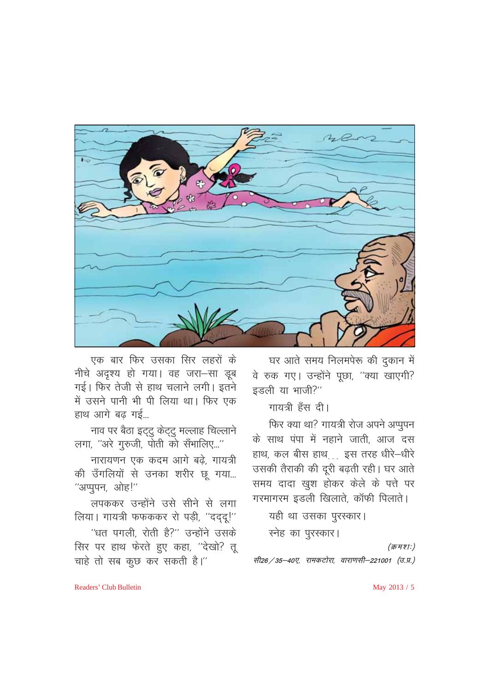

एक बार फिर उसका सिर लहरों के नीचे अदृश्य हो गया। वह जरा-सा डूब गई। फिर तेजी से हाथ चलाने लगी। इतने में उसने पानी भी पी लिया था। फिर एक हाथ आगे बढ गई...

नाव पर बैठा इट्टु केट्टु मल्लाह चिल्लाने लगा, "अरे गुरुजी, पोती को सँभालिए..."

नारायणन एक कदम आगे बढे, गायत्री की उँगलियों से उनका शरीर छू गया... "अप्पूपन, ओह!"

लपककर उन्होंने उसे सीने से लगा लिया। गायत्री फफककर रो पड़ी, "दददू!"

"धत पगली, रोती है?" उन्होंने उसके सिर पर हाथ फेरते हुए कहा, "देखो? तू चाहे तो सब कुछ कर सकती है।"

घर आते समय निलमपेरू की दुकान में वे रुक गए। उन्होंने पछा, "क्या खाएगी? इडली या भाजी?"

### गायत्री हँस दी।

फिर क्या था? गायत्री रोज अपने अप्पुपन के साथ पंपा में नहाने जाती, आज दस हाथ, कल बीस हाथ इस तरह धीरे-धीरे उसकी तैराकी की दूरी बढ़ती रही। घर आते समय दादा खुश होकर केले के पत्ते पर गरमागरम इडली खिलाते, कॉफी पिलाते।

यही था उसका पुरस्कार।

स्नेह का पुरस्कार।

(क्रमशः)

सी26 / 35–40ए, रामकटोरा, वाराणसी–221001 (उ.प्र.)

Readers' Club Bulletin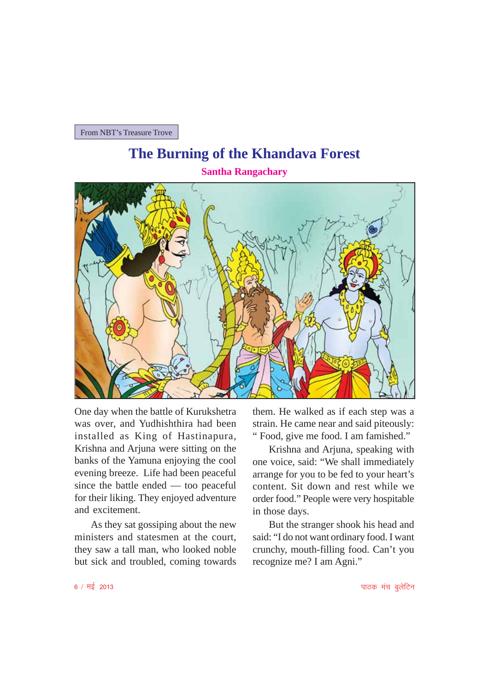From NBT's Treasure Trove

## **The Burning of the Khandava Forest**

**Santha Rangachary**



One day when the battle of Kurukshetra was over, and Yudhishthira had been installed as King of Hastinapura, Krishna and Arjuna were sitting on the banks of the Yamuna enjoying the cool evening breeze. Life had been peaceful since the battle ended — too peaceful for their liking. They enjoyed adventure and excitement.

As they sat gossiping about the new ministers and statesmen at the court, they saw a tall man, who looked noble but sick and troubled, coming towards them. He walked as if each step was a strain. He came near and said piteously: " Food, give me food. I am famished."

Krishna and Arjuna, speaking with one voice, said: "We shall immediately arrange for you to be fed to your heart's content. Sit down and rest while we order food." People were very hospitable in those days.

But the stranger shook his head and said: "I do not want ordinary food. I want crunchy, mouth-filling food. Can't you recognize me? I am Agni."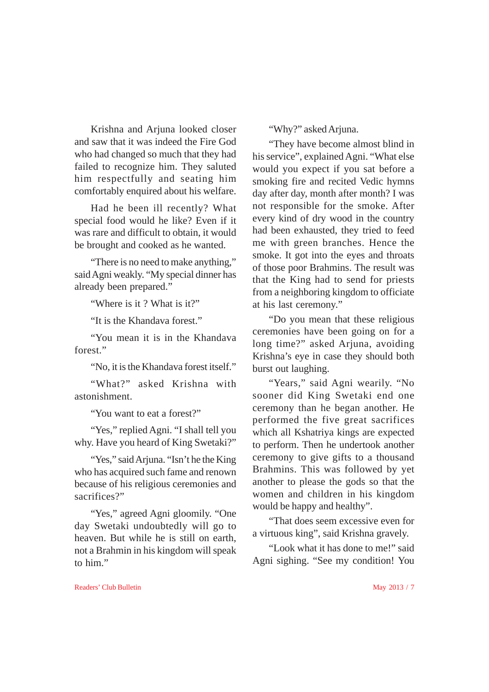Krishna and Arjuna looked closer and saw that it was indeed the Fire God who had changed so much that they had failed to recognize him. They saluted him respectfully and seating him comfortably enquired about his welfare.

Had he been ill recently? What special food would he like? Even if it was rare and difficult to obtain, it would be brought and cooked as he wanted.

"There is no need to make anything," said Agni weakly. "My special dinner has already been prepared."

"Where is it? What is it?"

"It is the Khandava forest."

"You mean it is in the Khandava forest."

"No, it is the Khandava forest itself."

"What?" asked Krishna with astonishment.

"You want to eat a forest?"

"Yes," replied Agni. "I shall tell you why. Have you heard of King Swetaki?"

"Yes," said Arjuna. "Isn't he the King who has acquired such fame and renown because of his religious ceremonies and sacrifices?"

"Yes," agreed Agni gloomily. "One day Swetaki undoubtedly will go to heaven. But while he is still on earth, not a Brahmin in his kingdom will speak to him."

"Why?" asked Arjuna.

"They have become almost blind in his service", explained Agni. "What else would you expect if you sat before a smoking fire and recited Vedic hymns day after day, month after month? I was not responsible for the smoke. After every kind of dry wood in the country had been exhausted, they tried to feed me with green branches. Hence the smoke. It got into the eyes and throats of those poor Brahmins. The result was that the King had to send for priests from a neighboring kingdom to officiate at his last ceremony."

"Do you mean that these religious ceremonies have been going on for a long time?" asked Arjuna, avoiding Krishna's eye in case they should both burst out laughing.

"Years," said Agni wearily. "No sooner did King Swetaki end one ceremony than he began another. He performed the five great sacrifices which all Kshatriya kings are expected to perform. Then he undertook another ceremony to give gifts to a thousand Brahmins. This was followed by yet another to please the gods so that the women and children in his kingdom would be happy and healthy".

"That does seem excessive even for a virtuous king", said Krishna gravely.

"Look what it has done to me!" said Agni sighing. "See my condition! You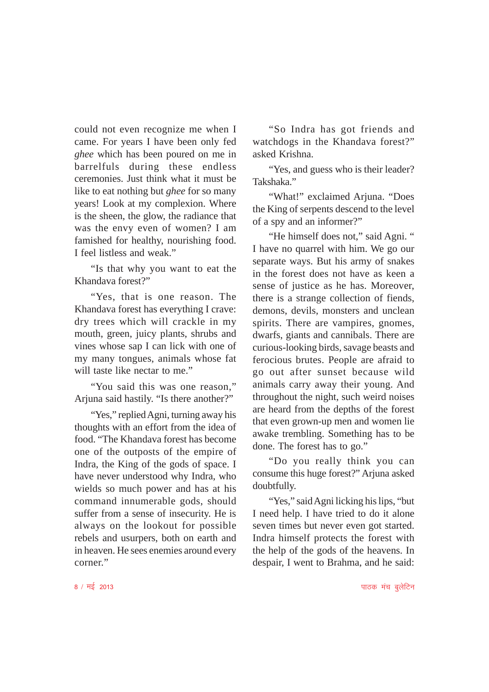could not even recognize me when I came. For years I have been only fed *ghee* which has been poured on me in barrelfuls during these endless ceremonies. Just think what it must be like to eat nothing but *ghee* for so many years! Look at my complexion. Where is the sheen, the glow, the radiance that was the envy even of women? I am famished for healthy, nourishing food. I feel listless and weak."

"Is that why you want to eat the Khandava forest?"

"Yes, that is one reason. The Khandava forest has everything I crave: dry trees which will crackle in my mouth, green, juicy plants, shrubs and vines whose sap I can lick with one of my many tongues, animals whose fat will taste like nectar to me."

"You said this was one reason," Arjuna said hastily. "Is there another?"

"Yes," replied Agni, turning away his thoughts with an effort from the idea of food. "The Khandava forest has become one of the outposts of the empire of Indra, the King of the gods of space. I have never understood why Indra, who wields so much power and has at his command innumerable gods, should suffer from a sense of insecurity. He is always on the lookout for possible rebels and usurpers, both on earth and in heaven. He sees enemies around every corner."

"So Indra has got friends and watchdogs in the Khandava forest?" asked Krishna.

"Yes, and guess who is their leader? Takshaka."

"What!" exclaimed Arjuna. "Does the King of serpents descend to the level of a spy and an informer?"

"He himself does not," said Agni. " I have no quarrel with him. We go our separate ways. But his army of snakes in the forest does not have as keen a sense of justice as he has. Moreover, there is a strange collection of fiends, demons, devils, monsters and unclean spirits. There are vampires, gnomes, dwarfs, giants and cannibals. There are curious-looking birds, savage beasts and ferocious brutes. People are afraid to go out after sunset because wild animals carry away their young. And throughout the night, such weird noises are heard from the depths of the forest that even grown-up men and women lie awake trembling. Something has to be done. The forest has to go."

"Do you really think you can consume this huge forest?" Arjuna asked doubtfully.

"Yes," said Agni licking his lips, "but I need help. I have tried to do it alone seven times but never even got started. Indra himself protects the forest with the help of the gods of the heavens. In despair, I went to Brahma, and he said: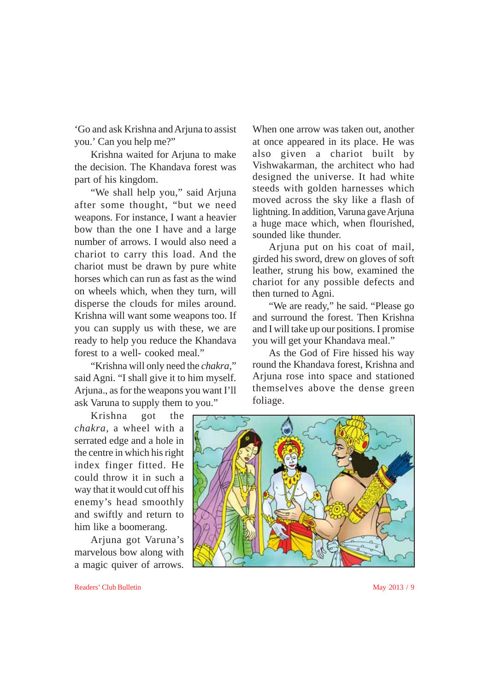'Go and ask Krishna and Arjuna to assist you.' Can you help me?"

Krishna waited for Arjuna to make the decision. The Khandava forest was part of his kingdom.

"We shall help you," said Arjuna after some thought, "but we need weapons. For instance, I want a heavier bow than the one I have and a large number of arrows. I would also need a chariot to carry this load. And the chariot must be drawn by pure white horses which can run as fast as the wind on wheels which, when they turn, will disperse the clouds for miles around. Krishna will want some weapons too. If you can supply us with these, we are ready to help you reduce the Khandava forest to a well- cooked meal."

"Krishna will only need the *chakra*," said Agni. "I shall give it to him myself. Arjuna., as for the weapons you want I'll ask Varuna to supply them to you."

Krishna got the *chakra*, a wheel with a serrated edge and a hole in the centre in which his right index finger fitted. He could throw it in such a way that it would cut off his enemy's head smoothly and swiftly and return to him like a boomerang.

Arjuna got Varuna's marvelous bow along with a magic quiver of arrows.

When one arrow was taken out, another at once appeared in its place. He was also given a chariot built by Vishwakarman, the architect who had designed the universe. It had white steeds with golden harnesses which moved across the sky like a flash of lightning. In addition, Varuna gave Arjuna a huge mace which, when flourished, sounded like thunder.

Arjuna put on his coat of mail, girded his sword, drew on gloves of soft leather, strung his bow, examined the chariot for any possible defects and then turned to Agni.

"We are ready," he said. "Please go and surround the forest. Then Krishna and I will take up our positions. I promise you will get your Khandava meal."

As the God of Fire hissed his way round the Khandava forest, Krishna and Arjuna rose into space and stationed themselves above the dense green foliage.

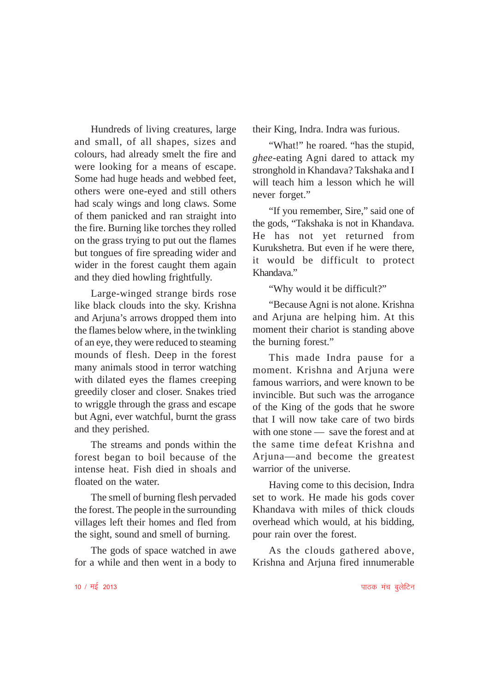Hundreds of living creatures, large and small, of all shapes, sizes and colours, had already smelt the fire and were looking for a means of escape. Some had huge heads and webbed feet, others were one-eyed and still others had scaly wings and long claws. Some of them panicked and ran straight into the fire. Burning like torches they rolled on the grass trying to put out the flames but tongues of fire spreading wider and wider in the forest caught them again and they died howling frightfully.

Large-winged strange birds rose like black clouds into the sky. Krishna and Arjuna's arrows dropped them into the flames below where, in the twinkling of an eye, they were reduced to steaming mounds of flesh. Deep in the forest many animals stood in terror watching with dilated eyes the flames creeping greedily closer and closer. Snakes tried to wriggle through the grass and escape but Agni, ever watchful, burnt the grass and they perished.

The streams and ponds within the forest began to boil because of the intense heat. Fish died in shoals and floated on the water.

The smell of burning flesh pervaded the forest. The people in the surrounding villages left their homes and fled from the sight, sound and smell of burning.

The gods of space watched in awe for a while and then went in a body to their King, Indra. Indra was furious.

"What!" he roared. "has the stupid, *ghee*-eating Agni dared to attack my stronghold in Khandava? Takshaka and I will teach him a lesson which he will never forget."

"If you remember, Sire," said one of the gods, "Takshaka is not in Khandava. He has not yet returned from Kurukshetra. But even if he were there, it would be difficult to protect Khandava."

"Why would it be difficult?"

"Because Agni is not alone. Krishna and Arjuna are helping him. At this moment their chariot is standing above the burning forest."

This made Indra pause for a moment. Krishna and Arjuna were famous warriors, and were known to be invincible. But such was the arrogance of the King of the gods that he swore that I will now take care of two birds with one stone — save the forest and at the same time defeat Krishna and Arjuna—and become the greatest warrior of the universe.

Having come to this decision, Indra set to work. He made his gods cover Khandava with miles of thick clouds overhead which would, at his bidding, pour rain over the forest.

As the clouds gathered above, Krishna and Arjuna fired innumerable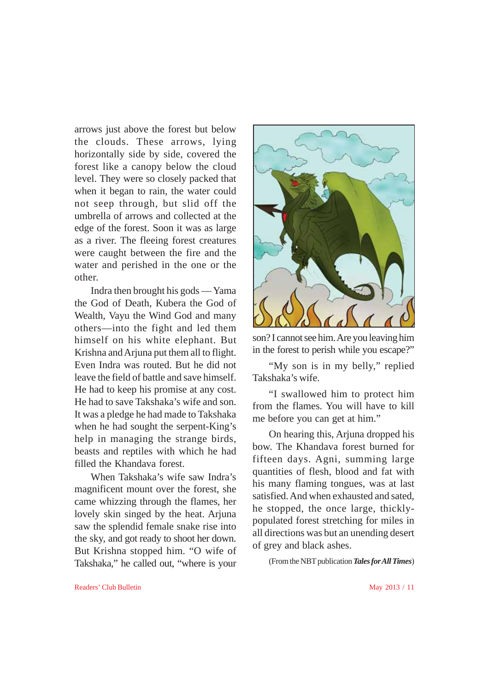arrows just above the forest but below the clouds. These arrows, lying horizontally side by side, covered the forest like a canopy below the cloud level. They were so closely packed that when it began to rain, the water could not seep through, but slid off the umbrella of arrows and collected at the edge of the forest. Soon it was as large as a river. The fleeing forest creatures were caught between the fire and the water and perished in the one or the other.

Indra then brought his gods — Yama the God of Death, Kubera the God of Wealth, Vayu the Wind God and many others—into the fight and led them himself on his white elephant. But Krishna and Arjuna put them all to flight. Even Indra was routed. But he did not leave the field of battle and save himself. He had to keep his promise at any cost. He had to save Takshaka's wife and son. It was a pledge he had made to Takshaka when he had sought the serpent-King's help in managing the strange birds, beasts and reptiles with which he had filled the Khandava forest.

When Takshaka's wife saw Indra's magnificent mount over the forest, she came whizzing through the flames, her lovely skin singed by the heat. Arjuna saw the splendid female snake rise into the sky, and got ready to shoot her down. But Krishna stopped him. "O wife of Takshaka," he called out, "where is your



son? I cannot see him. Are you leaving him in the forest to perish while you escape?"

"My son is in my belly," replied Takshaka's wife.

"I swallowed him to protect him from the flames. You will have to kill me before you can get at him."

On hearing this, Arjuna dropped his bow. The Khandava forest burned for fifteen days. Agni, summing large quantities of flesh, blood and fat with his many flaming tongues, was at last satisfied. And when exhausted and sated, he stopped, the once large, thicklypopulated forest stretching for miles in all directions was but an unending desert of grey and black ashes.

(From the NBT publication *Tales for All Times*)

Readers' Club Bulletin May 2013 / 11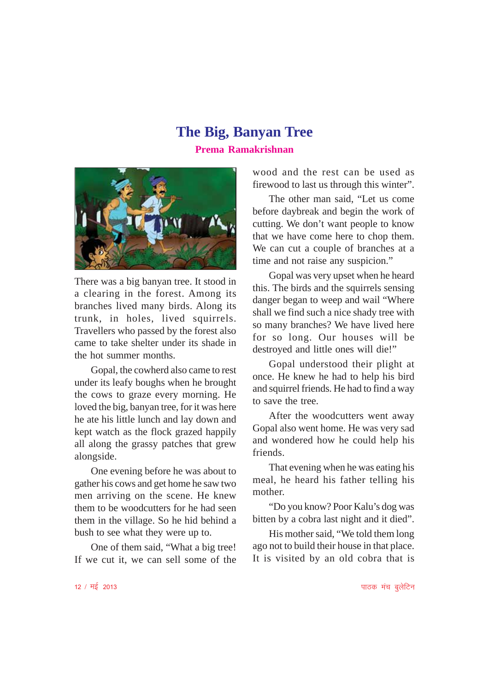# **The Big, Banyan Tree**

**Prema Ramakrishnan**



There was a big banyan tree. It stood in a clearing in the forest. Among its branches lived many birds. Along its trunk, in holes, lived squirrels. Travellers who passed by the forest also came to take shelter under its shade in the hot summer months.

Gopal, the cowherd also came to rest under its leafy boughs when he brought the cows to graze every morning. He loved the big, banyan tree, for it was here he ate his little lunch and lay down and kept watch as the flock grazed happily all along the grassy patches that grew alongside.

One evening before he was about to gather his cows and get home he saw two men arriving on the scene. He knew them to be woodcutters for he had seen them in the village. So he hid behind a bush to see what they were up to.

One of them said, "What a big tree! If we cut it, we can sell some of the wood and the rest can be used as firewood to last us through this winter".

The other man said, "Let us come before daybreak and begin the work of cutting. We don't want people to know that we have come here to chop them. We can cut a couple of branches at a time and not raise any suspicion."

Gopal was very upset when he heard this. The birds and the squirrels sensing danger began to weep and wail "Where shall we find such a nice shady tree with so many branches? We have lived here for so long. Our houses will be destroyed and little ones will die!"

Gopal understood their plight at once. He knew he had to help his bird and squirrel friends. He had to find a way to save the tree.

After the woodcutters went away Gopal also went home. He was very sad and wondered how he could help his friends.

That evening when he was eating his meal, he heard his father telling his mother.

"Do you know? Poor Kalu's dog was bitten by a cobra last night and it died".

His mother said, "We told them long ago not to build their house in that place. It is visited by an old cobra that is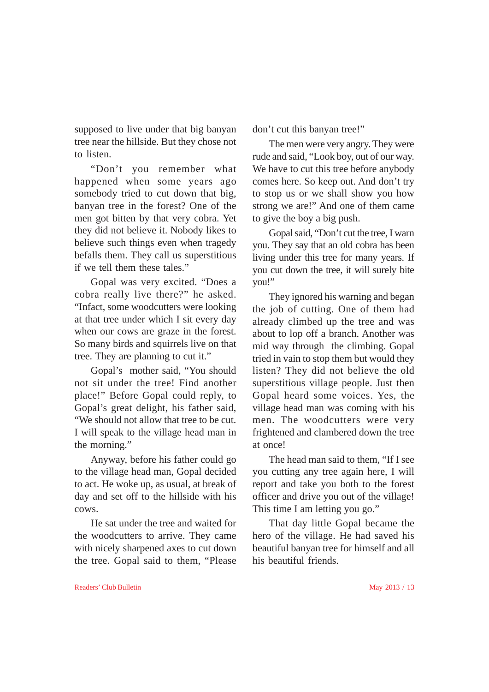supposed to live under that big banyan tree near the hillside. But they chose not to listen.

"Don't you remember what happened when some years ago somebody tried to cut down that big, banyan tree in the forest? One of the men got bitten by that very cobra. Yet they did not believe it. Nobody likes to believe such things even when tragedy befalls them. They call us superstitious if we tell them these tales."

Gopal was very excited. "Does a cobra really live there?" he asked. "Infact, some woodcutters were looking at that tree under which I sit every day when our cows are graze in the forest. So many birds and squirrels live on that tree. They are planning to cut it."

Gopal's mother said, "You should not sit under the tree! Find another place!" Before Gopal could reply, to Gopal's great delight, his father said, "We should not allow that tree to be cut. I will speak to the village head man in the morning."

Anyway, before his father could go to the village head man, Gopal decided to act. He woke up, as usual, at break of day and set off to the hillside with his cows.

He sat under the tree and waited for the woodcutters to arrive. They came with nicely sharpened axes to cut down the tree. Gopal said to them, "Please don't cut this banyan tree!"

The men were very angry. They were rude and said, "Look boy, out of our way. We have to cut this tree before anybody comes here. So keep out. And don't try to stop us or we shall show you how strong we are!" And one of them came to give the boy a big push.

Gopal said, "Don't cut the tree, I warn you. They say that an old cobra has been living under this tree for many years. If you cut down the tree, it will surely bite you!"

They ignored his warning and began the job of cutting. One of them had already climbed up the tree and was about to lop off a branch. Another was mid way through the climbing. Gopal tried in vain to stop them but would they listen? They did not believe the old superstitious village people. Just then Gopal heard some voices. Yes, the village head man was coming with his men. The woodcutters were very frightened and clambered down the tree at once!

The head man said to them, "If I see you cutting any tree again here, I will report and take you both to the forest officer and drive you out of the village! This time I am letting you go."

That day little Gopal became the hero of the village. He had saved his beautiful banyan tree for himself and all his beautiful friends.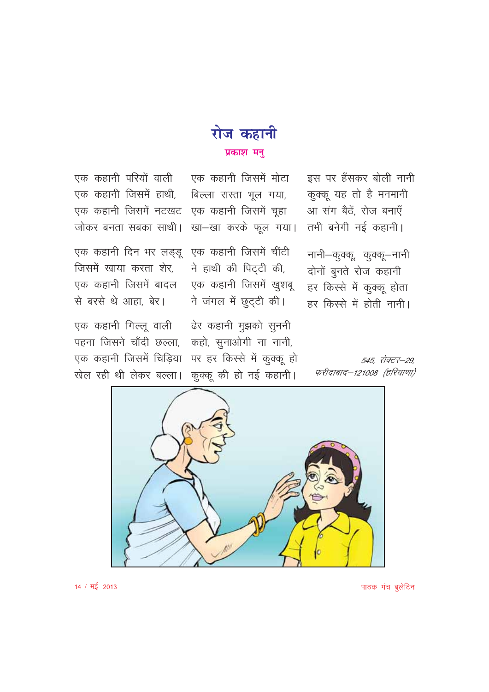**रोज कहानी** *<u>uang</u>* **H**q

एक कहानी परियों वाली एक कहानी जिसमें हाथी, एक कहानी जिसमें नटखट जोकर बनता सबका साथी।

एक कहानी दिन भर लड़डू जिसमें खाया करता शेर. एक कहानी जिसमें बादल से बरसे थे आहा, बेर।

.<br>एक कहानी गिल्लु वाली ढेर कहानी मुझको सुननी पहना जिसने चाँदी छल्ला, .<br>एक कहानी जिसमें चिड़िया पर हर किस्से में कूक्कू हो खेल रही थी लेकर बल्ला। कुक्कू की हो नई कहानी।

एक कहानी जिसमें मोटा बिल्ला रास्ता भूल गया, एक कहानी जिसमें चूहा खा-खा करके फूल गया।

एक कहानी जिसमें चींटी

ने हाथी की पिट्टी की,

ने जंगल में छूट्टी की।

कहो, सुनाओगी ना नानी,

एक कहानी जिसमें खुशबू

इस पर हँसकर बोली नानी कूक्कू यह तो है मनमानी आ संग बैठें, रोज बनाएँ तभी बनेगी नई कहानी।

नानी-कुक्कू कुक्कू-नानी दोनों बुनते रोज कहानी हर किस्से में कुक्कू होता हर किस्से में होती नानी।

545, सेक्टर–29, फरीदाबाद—121008 (हरियाणा)

 $14$  / मई 2013 ikBd eap control to the control of the control of the control of the control of the control of the control of the control of the control of the control of the control of the control of the control of the c

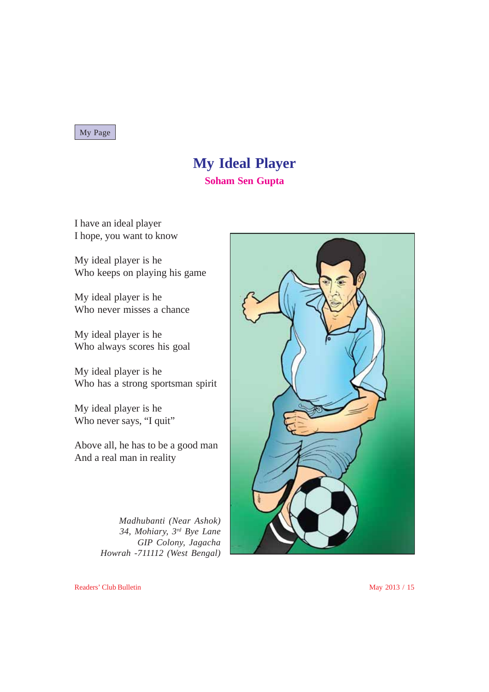My Page

## **My Ideal Player Soham Sen Gupta**

I have an ideal player I hope, you want to know

My ideal player is he Who keeps on playing his game

My ideal player is he Who never misses a chance

My ideal player is he Who always scores his goal

My ideal player is he Who has a strong sportsman spirit

My ideal player is he Who never says, "I quit"

Above all, he has to be a good man And a real man in reality

> *Madhubanti (Near Ashok) 34, Mohiary, 3rd Bye Lane GIP Colony, Jagacha Howrah -711112 (West Bengal)*



Readers' Club Bulletin May 2013 / 15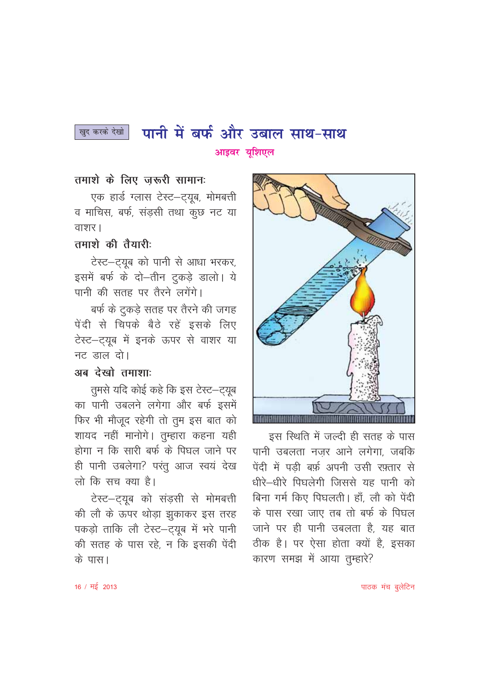#### पानी में बर्फ और उबाल साथ-साथ खुद करके देखो | आइवर यशिएल

### तमाशे के लिए जरूरी सामानः

एक हार्ड ग्लास टेस्ट-ट्यूब, मोमबत्ती व माचिस, बर्फ, संड़सी तथा कूछ नट या वाशर।

तमाशे की तैयारी:

टेस्ट-ट्यूब को पानी से आधा भरकर, इसमें बर्फ के दो-तीन टुकड़े डालो। ये पानी की सतह पर तैरने लगेंगे।

बर्फ के टूकड़े सतह पर तैरने की जगह पेंदी से चिपके बैठे रहें इसके लिए टेस्ट-ट्यूब में इनके ऊपर से वाशर या नट डाल दो।

## अब देखो तमाशाः

तुमसे यदि कोई कहे कि इस टेस्ट-ट्यूब का पानी उबलने लगेगा और बर्फ इसमें फिर भी मौजूद रहेगी तो तुम इस बात को शायद नहीं मानोगे। तुम्हारा कहना यही होगा न कि सारी बर्फ के पिघल जाने पर ही पानी उबलेगा? परंतू आज स्वयं देख लो कि सच क्या है।

टेस्ट-ट्यूब को संड़सी से मोमबत्ती की लौ के ऊपर थोड़ा झुकाकर इस तरह पकड़ो ताकि लौ टेस्ट-ट्यूब में भरे पानी की सतह के पास रहे, न कि इसकी पेंदी के पास।



इस स्थिति में जल्दी ही सतह के पास पानी उबलता नजर आने लगेगा, जबकि पेंदी में पड़ी बर्फ़ अपनी उसी रफ़्तार से धीरे-धीरे पिघलेगी जिससे यह पानी को बिना गर्म किए पिघलती। हाँ, लौ को पेंदी के पास रखा जाए तब तो बर्फ के पिघल जाने पर ही पानी उबलता है, यह बात ठीक है। पर ऐसा होता क्यों है, इसका कारण समझ में आया तुम्हारे?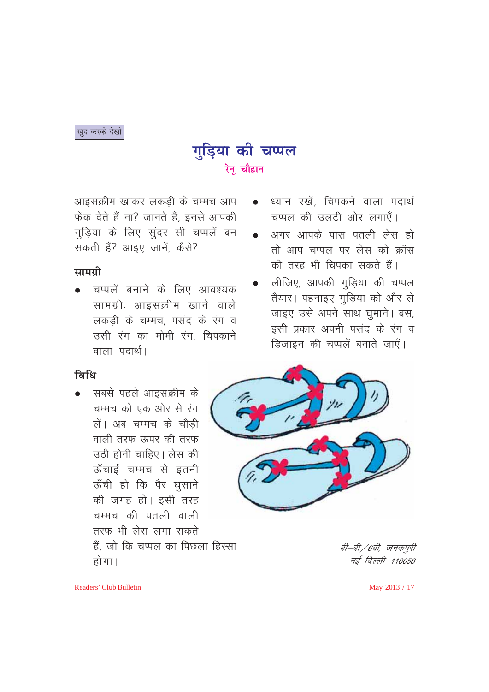#### खुद करके देखो

## **गुड़िया की चप्पल** रेनू चौहान

आइसक्रीम खाकर लकडी के चम्मच आप फेंक देते हैं ना? जानते हैं, इनसे आपकी गूड़िया के लिए सुंदर–सी चप्पलें बन सकती हैं? आइए जानें, कैसे?

### **lkexzh**

 $\bullet$ चप्पलें बनाने के लिए आवश्यक सामग्रीः आइसक्रीम खाने वाले लकड़ी के चम्मच, पसंद के रंग व उसी रंग का मोमी रंग चिपकाने वाला पदार्थ।

- $\bullet$ ध्यान रखें. चिपकने वाला पदार्थ चप्पल की उलटी ओर लगाएँ।
- $\bullet$ अगर आपके पास पतली लेस हो तो आप चप्पल पर लेस को क्रॉस की तरह भी चिपका सकते हैं।
- $\bullet$ लीजिए, आपकी गुडिया की चप्पल तैयार। पहनाइए गुड़िया को और ले जाइए उसे अपने साथ घुमाने। बस, इसी प्रकार अपनी पसंद के रंग व डिजाइन की चप्पलें बनाते जाएँ।

### <u>विधि</u>

 $\bullet$ सबसे पहले आइसक्रीम के चम्मच को एक ओर से रंग लें। अब चम्मच के चौडी वाली तरफ ऊपर की तरफ उठी होनी चाहिए। लेस की ऊँचाई चम्मच से इतनी ऊँची हो कि पैर घुसाने की जगह हो। इसी तरह चम्मच की पतली वाली तरफ भी लेस लगा सकते हैं, जो कि चप्पल का पिछला हिस्सा होगा।



बी-बी/6बी, जनकपुरी नई दिल्ली-110058

Readers' Club Bulletin May 2013 / 17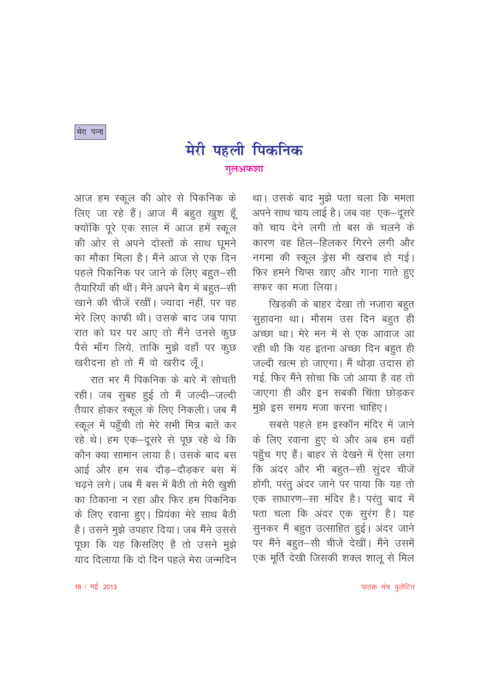मेरा पन्ना

## मेरी पहली पिकनिक गुलअफशा

आज हम स्कूल की ओर से पिकनिक के लिए जा रहे हैं। आज मैं बहुत खुश हूँ क्योंकि पूरे एक साल में आज हमें स्कूल की ओर से अपने दोस्तों के साथ घूमने का मौका मिला है। मैंने आज से एक दिन पहले पिकनिक पर जाने के लिए बहुत–सी तैयारियाँ की थीं। मैंने अपने बैग में बहुत–सी खाने की चीजें रखीं। ज्यादा नहीं, पर वह मेरे लिए काफी थी। उसके बाद जब पापा रात को घर पर आए तो मैंने उनसे कुछ पैसे माँग लिये, ताकि मुझे वहाँ पर कुछ खरीदना हो तो मैं वो खरीद लूँ।

रात भर मैं पिकनिक के बारे में सोचती रही। जब सुबह हुई तो मैं जल्दी–जल्दी तैयार होकर स्कूल के लिए निकली। जब मैं स्कूल में पहुँची तो मेरे सभी मित्र बातें कर रहे थे। हम एक-दूसरे से पूछ रहे थे कि कौन क्या सामान लाया है। उसके बाद बस आई और हम सब दौड़-दौड़कर बस में चढने लगे। जब मैं बस में बैठी तो मेरी खुशी का ठिकाना न रहा और फिर हम पिकनिक के लिए रवाना हुए। प्रियंका मेरे साथ बैठी है। उसने मुझे उपहार दिया। जब मैंने उससे पूछा कि यह किसलिए है तो उसने मूझे याद दिलाया कि दो दिन पहले मेरा जन्मदिन

था। उसके बाद मुझे पता चला कि ममता अपने साथ चाय लाई है। जब वह एक-दूसरे को चाय देने लगी तो बस के चलने के कारण वह हिल-हिलकर गिरने लगी और नगमा की स्कूल ड्रेस भी खराब हो गई। फिर हमने चिप्स खाए और गाना गाते हुए सफर का मजा लिया।

खिड़की के बाहर देखा तो नजारा बहुत सुहावना था। मौसम उस दिन बहुत ही अच्छा था। मेरे मन में से एक आवाज आ रही थी कि यह इतना अच्छा दिन बहुत ही जल्दी खत्म हो जाएगा। मैं थोड़ा उदास हो गई, फिर मैंने सोचा कि जो आया है वह तो जाएगा ही और इन सबकी चिंता छोडकर मुझे इस समय मजा करना चाहिए।

सबसे पहले हम इस्कॉन मंदिर में जाने के लिए रवाना हुए थे और अब हम वहाँ पहूँच गए हैं। बाहर से देखने में ऐसा लगा कि अंदर और भी बहुत-सी सुंदर चीजें होंगी, परंतु अंदर जाने पर पाया कि यह तो एक साधारण—सा मंदिर है। परंतु बाद में पता चला कि अंदर एक सुरंग है। यह सुनकर मैं बहुत उत्साहित हुई। अंदर जाने पर मैंने बहुत–सी चीजें देखीं। मैंने उसमें एक मूर्ति देखी जिसकी शक्ल शालू से मिल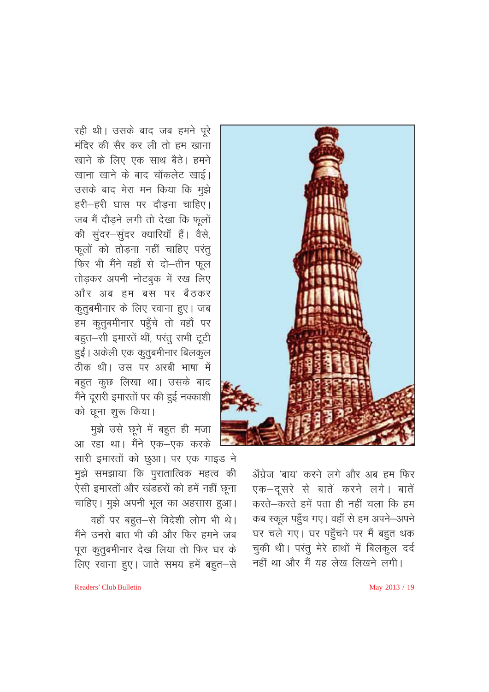रही थी। उसके बाद जब हमने पूरे मंदिर की सैर कर ली तो हम खाना खाने के लिए एक साथ बैठे। हमने खाना खाने के बाद चॉकलेट खाई। उसके बाद मेरा मन किया कि मुझे  $\bar{\mathcal{F}}$ हरी घास पर दौडना चाहिए। जब मैं दौड़ने लगी तो देखा कि फूलों की सुंदर-सुंदर क्यारियाँ हैं। वैसे, फूलों को तोड़ना नहीं चाहिए परंतू फिर भी मैंने वहाँ से दो-तीन फूल तोड़कर अपनी नोटबुक में रख लिए ओंर अब हम बस पर बैठकर कुतुबमीनार के लिए रवाना हुए। जब हम कृतुबमीनार पहुँचे तो वहाँ पर बहुत-सी इमारतें थीं, परंतु सभी टूटी हुईं। अकेली एक कुतुबमीनार बिलकुल ठीक थी। उस पर अरबी भाषा में बहुत कूछ लिखा था। उसके बाद मैंने दूसरी इमारतों पर की हुई नक्काशी को छूना शुरू किया।

मुझे उसे छूने में बहुत ही मजा आ रहा था। मैंने एक–एक करके सारी इमारतों को छुआ। पर एक गाइड ने मुझे समझाया कि पुरातात्विक महत्व की ऐसी इमारतों और खंडहरों को हमें नहीं छूना चाहिए। मुझे अपनी भूल का अहसास हुआ।

वहाँ पर बहुत-से विदेशी लोग भी थे। मैंने उनसे बात भी की और फिर हमने जब पूरा कुतुबमीनार देख लिया तो फिर घर के लिए रवाना हुए। जाते समय हमें बहुत-से



अँग्रेज 'बाय' करने लगे और अब हम फिर एक-दूसरे से बातें करने लगे। बातें करते-करते हमें पता ही नहीं चला कि हम कब स्कूल पहुँच गए। वहाँ से हम अपने-अपने घर चले गए। घर पहुँचने पर मैं बहुत थक चुकी थी। परंतु मेरे हाथों में बिलकुल दर्द नहीं था और मैं यह लेख लिखने लगी।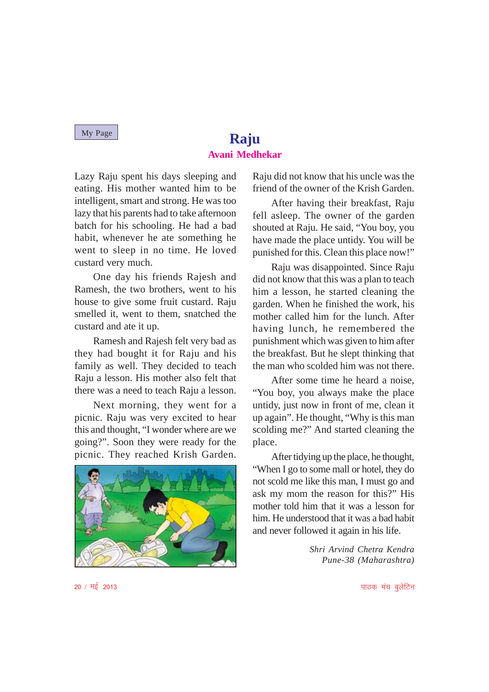My Page

## **Raju Avani Medhekar**

Lazy Raju spent his days sleeping and eating. His mother wanted him to be intelligent, smart and strong. He was too lazy that his parents had to take afternoon batch for his schooling. He had a bad habit, whenever he ate something he went to sleep in no time. He loved custard very much.

One day his friends Rajesh and Ramesh, the two brothers, went to his house to give some fruit custard. Raju smelled it, went to them, snatched the custard and ate it up.

Ramesh and Rajesh felt very bad as they had bought it for Raju and his family as well. They decided to teach Raju a lesson. His mother also felt that there was a need to teach Raju a lesson.

Next morning, they went for a picnic. Raju was very excited to hear this and thought, "I wonder where are we going?". Soon they were ready for the picnic. They reached Krish Garden.



Raju did not know that his uncle was the friend of the owner of the Krish Garden.

After having their breakfast, Raju fell asleep. The owner of the garden shouted at Raju. He said, "You boy, you have made the place untidy. You will be punished for this. Clean this place now!"

Raju was disappointed. Since Raju did not know that this was a plan to teach him a lesson, he started cleaning the garden. When he finished the work, his mother called him for the lunch. After having lunch, he remembered the punishment which was given to him after the breakfast. But he slept thinking that the man who scolded him was not there.

After some time he heard a noise, "You boy, you always make the place untidy, just now in front of me, clean it up again". He thought, "Why is this man scolding me?" And started cleaning the place.

After tidying up the place, he thought, "When I go to some mall or hotel, they do not scold me like this man, I must go and ask my mom the reason for this?" His mother told him that it was a lesson for him. He understood that it was a bad habit and never followed it again in his life.

> *Shri Arvind Chetra Kendra Pune-38 (Maharashtra)*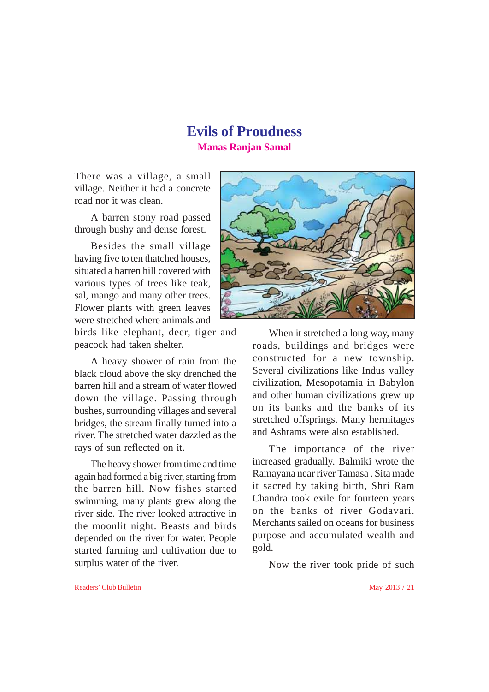# **Evils of Proudness**

**Manas Ranjan Samal**

There was a village, a small village. Neither it had a concrete road nor it was clean.

A barren stony road passed through bushy and dense forest.

Besides the small village having five to ten thatched houses, situated a barren hill covered with various types of trees like teak, sal, mango and many other trees. Flower plants with green leaves were stretched where animals and

birds like elephant, deer, tiger and peacock had taken shelter.

A heavy shower of rain from the black cloud above the sky drenched the barren hill and a stream of water flowed down the village. Passing through bushes, surrounding villages and several bridges, the stream finally turned into a river. The stretched water dazzled as the rays of sun reflected on it.

The heavy shower from time and time again had formed a big river, starting from the barren hill. Now fishes started swimming, many plants grew along the river side. The river looked attractive in the moonlit night. Beasts and birds depended on the river for water. People started farming and cultivation due to surplus water of the river.



When it stretched a long way, many roads, buildings and bridges were constructed for a new township. Several civilizations like Indus valley civilization, Mesopotamia in Babylon and other human civilizations grew up on its banks and the banks of its stretched offsprings. Many hermitages and Ashrams were also established.

The importance of the river increased gradually. Balmiki wrote the Ramayana near river Tamasa . Sita made it sacred by taking birth, Shri Ram Chandra took exile for fourteen years on the banks of river Godavari. Merchants sailed on oceans for business purpose and accumulated wealth and gold.

Now the river took pride of such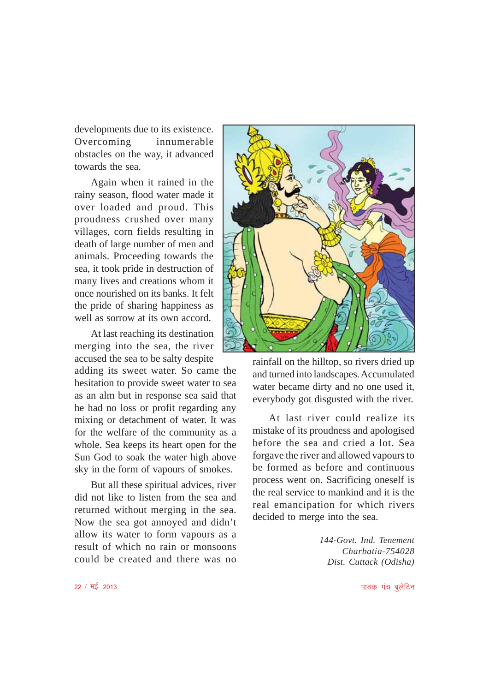developments due to its existence. Overcoming innumerable obstacles on the way, it advanced towards the sea.

Again when it rained in the rainy season, flood water made it over loaded and proud. This proudness crushed over many villages, corn fields resulting in death of large number of men and animals. Proceeding towards the sea, it took pride in destruction of many lives and creations whom it once nourished on its banks. It felt the pride of sharing happiness as well as sorrow at its own accord.

At last reaching its destination merging into the sea, the river accused the sea to be salty despite

adding its sweet water. So came the hesitation to provide sweet water to sea as an alm but in response sea said that he had no loss or profit regarding any mixing or detachment of water. It was for the welfare of the community as a whole. Sea keeps its heart open for the Sun God to soak the water high above sky in the form of vapours of smokes.

But all these spiritual advices, river did not like to listen from the sea and returned without merging in the sea. Now the sea got annoyed and didn't allow its water to form vapours as a result of which no rain or monsoons could be created and there was no



rainfall on the hilltop, so rivers dried up and turned into landscapes. Accumulated water became dirty and no one used it, everybody got disgusted with the river.

At last river could realize its mistake of its proudness and apologised before the sea and cried a lot. Sea forgave the river and allowed vapours to be formed as before and continuous process went on. Sacrificing oneself is the real service to mankind and it is the real emancipation for which rivers decided to merge into the sea.

> *144-Govt. Ind. Tenement Charbatia-754028 Dist. Cuttack (Odisha)*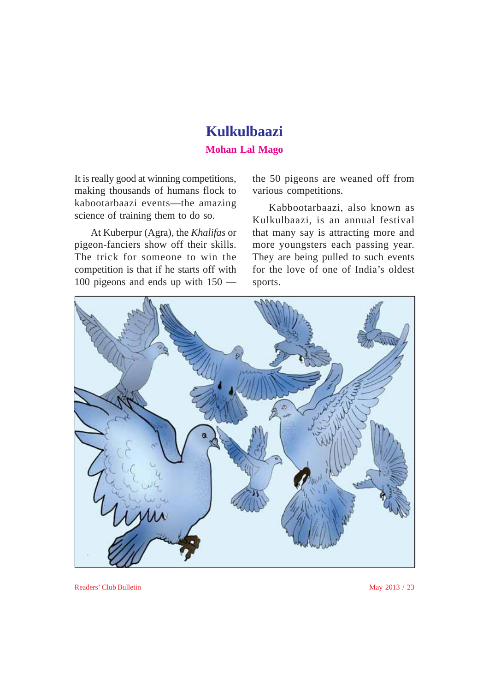## **Kulkulbaazi**

#### **Mohan Lal Mago**

It is really good at winning competitions, making thousands of humans flock to kabootarbaazi events—the amazing science of training them to do so.

At Kuberpur (Agra), the *Khalifas* or pigeon-fanciers show off their skills. The trick for someone to win the competition is that if he starts off with 100 pigeons and ends up with 150 —

the 50 pigeons are weaned off from various competitions.

Kabbootarbaazi, also known as Kulkulbaazi, is an annual festival that many say is attracting more and more youngsters each passing year. They are being pulled to such events for the love of one of India's oldest sports.



Readers' Club Bulletin May 2013 / 23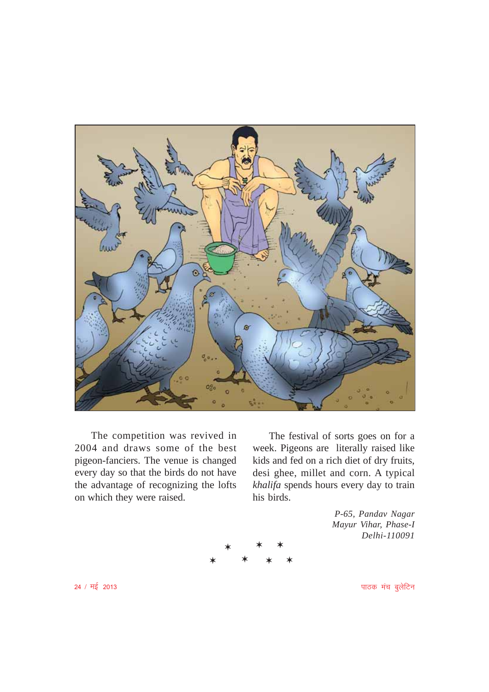

The competition was revived in 2004 and draws some of the best pigeon-fanciers. The venue is changed every day so that the birds do not have the advantage of recognizing the lofts on which they were raised.

The festival of sorts goes on for a week. Pigeons are literally raised like kids and fed on a rich diet of dry fruits, desi ghee, millet and corn. A typical *khalifa* spends hours every day to train his birds.

> *P-65, Pandav Nagar Mayur Vihar, Phase-I Delhi-110091*



 $24$  / मई 2013 ikBd eap control to the control of the control of the control of the control of the control of the control of the control of the control of the control of the control of the control of the control of the c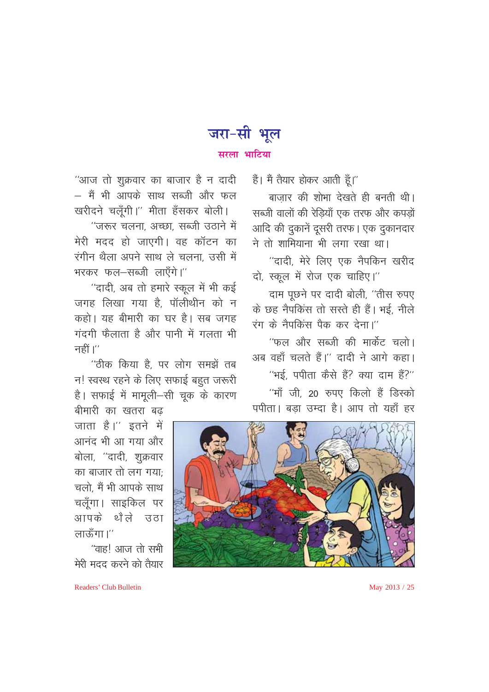# जरा-सी भूल

#### सरला भाटिया

''आज तो शुक्रवार का बाजार है न दादी – मैं भी आपके साथ सब्जी और फल खरीदने चलूँगी।" मीता हँसकर बोली।

"जरूर चलना, अच्छा, सब्जी उठाने में मेरी मदद हो जाएगी। वह कॉटन का रंगीन थैला अपने साथ ले चलना, उसी में भरकर फल-सब्जी लाएँगे।"

"दादी, अब तो हमारे स्कूल में भी कई जगह लिखा गया है. पॉलीथीन को न कहो। यह बीमारी का घर है। सब जगह गंदगी फैलाता है और पानी में गलता भी नहीं।"

"ठीक किया है, पर लोग समझें तब न! स्वस्थ रहने के लिए सफाई बहुत जरूरी है। सफाई में मामूली-सी चूक के कारण

बीमारी का खतरा बढ जाता है।" इतने में आनंद भी आ गया और बोला, "दादी, शुक्रवार का बाजार तो लग गया: चलो, मैं भी आपके साथ चलूँगा। साइकिल पर आपके थैले उठा लाऊँगा।''

"वाह़। आज़ तो सभी मेरी मदद करने को तैयार हैं। मैं तैयार होकर आती हूँ।"

बाजार की शोभा देखते ही बनती थी। सब्जी वालों की रेडियाँ एक तरफ और कपड़ों आदि की दुकानें दूसरी तरफ। एक दुकानदार ने तो शामियाना भी लगा रखा था।

"दादी, मेरे लिए एक नैपकिन खरीद दो, स्कूल में रोज एक चाहिए।"

दाम पूछने पर दादी बोली, "तीस रुपए के छह नैपकिंस तो सस्ते ही हैं। भई नीले .<br>रंग के नैपकिंस पैक कर देना।"

"फल और सब्जी की मार्केट चलो। अब वहाँ चलते हैं।" दादी ने आगे कहा। "भई, पपीता कैसे हैं? क्या दाम हैं?" "माँ जी, 20 रुपए किलो हैं डिस्को पपीता। बड़ा उम्दा है। आप तो यहाँ हर



**Readers' Club Bulletin** 

May 2013 / 25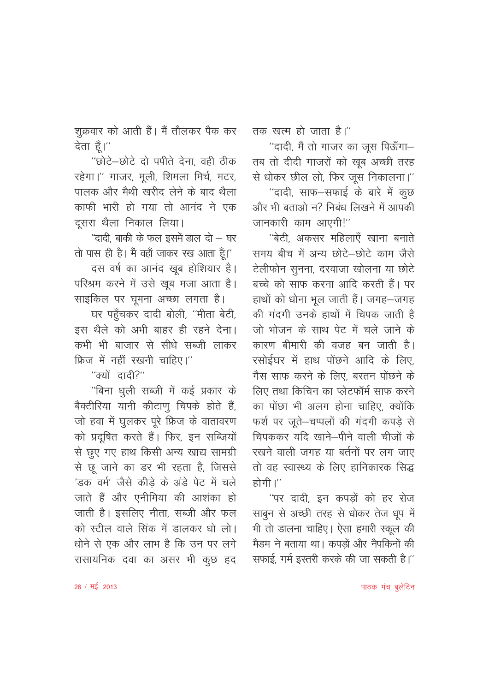शुक्रवार को आती हैं। मैं तौलकर पैक कर देता हूँ।"

"छोटे-छोटे दो पपीते देना, वही ठीक रहेगा।" गाजर, मूली, शिमला मिर्च, मटर, पालक और मैथी खरीद लेने के बाद थैला काफी भारी हो गया तो आनंद ने एक दूसरा थैला निकाल लिया।

"दादी, बाकी के फल इसमें डाल दो – घर तो पास ही है। मैं वहाँ जाकर रख आता हूँ।"

दस वर्ष का आनंद खूब होशियार है। परिश्रम करने में उसे खूब मजा आता है। साइकिल पर घूमना अच्छा लगता है।

घर पहुँचकर दादी बोली, "मीता बेटी, इस थैले को अभी बाहर ही रहने देना। कभी भी बाजार से सीधे सब्जी लाकर फ्रिज में नहीं रखनी चाहिए।"

"क्यों दादी?"

''बिना धुली सब्जी में कई प्रकार के बैक्टीरिया यानी कीटाणू चिपके होते हैं, जो हवा में घुलकर पूरे फ्रिज के वातावरण को प्रदूषित करते हैं। फिर, इन सब्जियों से छूए गए हाथ किसी अन्य खाद्य सामग्री से छू जाने का डर भी रहता है, जिससे 'ड़क वर्म' जैसे कीड़े के अंडे पेट में चले जाते हैं और एनीमिया की आशंका हो जाती है। इसलिए नीता, सब्जी और फल को स्टील वाले सिंक में डालकर धो लो। धोने से एक और लाभ है कि उन पर लगे रासायनिक दवा का असर भी कुछ हद तक खत्म हो जाता है।''

''दादी, मैं तो गाजर का जूस पिऊँगा– तब तो दीदी गाजरों को खूब अच्छी तरह से धोकर छील लो, फिर जूस निकालना।"

"दादी, साफ-सफाई के बारे में कुछ और भी बताओ न? निबंध लिखने में आपकी जानकारी काम आएगी!"

''बेटी, अकसर महिलाएँ खाना बनाते समय बीच में अन्य छोटे-छोटे काम जैसे टेलीफोन सुनना, दरवाजा खोलना या छोटे बच्चे को साफ करना आदि करती हैं। पर हाथों को धोना भूल जाती हैं। जगह–जगह की गंदगी उनके हाथों में चिपक जाती है जो भोजन के साथ पेट में चले जाने के कारण बीमारी की वजह बन जाती है। रसोईघर में हाथ पोंछने आदि के लिए. गैस साफ करने के लिए. बरतन पोंछने के लिए तथा किचिन का प्लेटफॉर्म साफ करने का पोंछा भी अलग होना चाहिए, क्योंकि फर्श पर जूते-चप्पलों की गंदगी कपड़े से चिपककर यदि खाने-पीने वाली चीजों के रखने वाली जगह या बर्तनों पर लग जाए तो वह स्वास्थ्य के लिए हानिकारक सिद्ध होगी।''

''पर दादी, इन कपड़ों को हर रोज साबुन से अच्छी तरह से धोकर तेज धूप में भी तो डालना चाहिए। ऐसा हमारी स्कूल की मैडम ने बताया था। कपड़ों और नैपकिनों की सफाई, गर्म इस्तरी करके की जा सकती है।"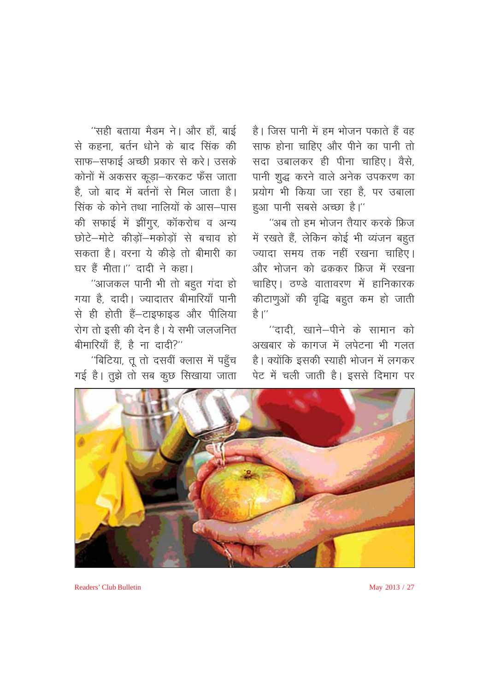"सही बताया मैडम ने। और हाँ, बाई से कहना, बर्तन धोने के बाद सिंक की साफ–सफाई अच्छी प्रकार से करे। उसके कोनों में अकसर कूड़ा-करकट फँस जाता है, जो बाद में बर्तनों से मिल जाता है। सिंक के कोने तथा नालियों के आस–पास की सफाई में झींगुर, कॉकरोच व अन्य छोटे-मोटे कीड़ों-मकोड़ों से बचाव हो सकता है। वरना ये कीड़े तो बीमारी का घर हैं मीता।'' दादी ने कहा।

"आजकल पानी भी तो बहुत गंदा हो गया है, दादी। ज्यादातर बीमारियाँ पानी से ही होती हैं-टाइफाइड और पीलिया रोग तो इसी की देन है। ये सभी जलजनित बीमारियाँ हैं, है ना दादी?"

''बिटिया, तू तो दसवीं क्लास में पहुँच गई है। तुझे तो सब कुछ सिखाया जाता है। जिस पानी में हम भोजन पकाते हैं वह साफ होना चाहिए और पीने का पानी तो सदा उबालकर ही पीना चाहिए। वैसे. पानी शुद्ध करने वाले अनेक उपकरण का प्रयोग भी किया जा रहा है. पर उबाला हुआ पानी सबसे अच्छा है।"

''अब तो हम भोजन तैयार करके फ्रिज में रखते हैं, लेकिन कोई भी व्यंजन बहुत ज्यादा समय तक नहीं रखना चाहिए। और भोजन को ढककर फ्रिज में रखना चाहिए। ठण्डे वातावरण में हानिकारक कीटाणुओं की वृद्धि बहुत कम हो जाती है ।''

''दादी, खाने-पीने के सामान को अखबार के कागज में लपेटना भी गलत है। क्योंकि इसकी स्याही भोजन में लगकर पेट में चली जाती है। इससे दिमाग पर

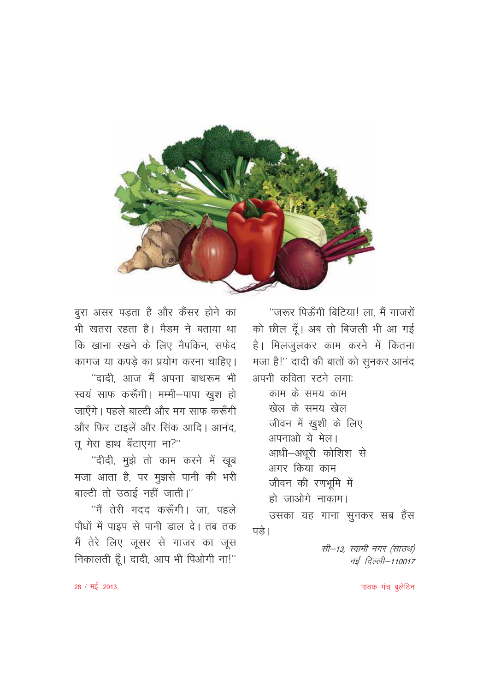

''जरूर पिऊँगी बिटिया! ला. मैं गाजरों को छील दूँ। अब तो बिजली भी आ गई है। मिलजुलकर काम करने में कितना मजा है!" दादी की बातों को सुनकर आनंद अपनी कविता रटने लगा:

काम के समय काम खेल के समय खेल जीवन में खुशी के लिए अपनाओं ये मेल। आधी-अधूरी कोशिश से अगर किया काम जीवन की रणभूमि में हो जाओगे नाकाम। उसका यह गाना सुनकर सब हँस

पडे।

सी-13, स्वामी नगर (साउथ) नई दिल्ली-110017

बूरा असर पड़ता है और कैंसर होने का भी खतरा रहता है। मैडम ने बताया था कि खाना रखने के लिए नैपकिन, सफेद कागज या कपडे का प्रयोग करना चाहिए।

"दादी, आज मैं अपना बाथरूम भी स्वयं साफ करूँगी। मम्मी-पापा खूश हो जाएँगे। पहले बाल्टी और मग साफ करूँगी और फिर टाइलें और सिंक आदि। आनंद, तू मेरा हाथ बँटाएगा ना?"

"दीदी, मुझे तो काम करने में खूब मजा आता है, पर मुझसे पानी की भरी बाल्टी तो उठाई नहीं जाती।"

''मैं तेरी मदद करूँगी। जा, पहले पौधों में पाइप से पानी डाल दे। तब तक मैं तेरे लिए जूसर से गाजर का जूस निकालती हूँ। दादी, आप भी पिओगी ना!"

28 / मई 2013

पाठक मंच बुलेटिन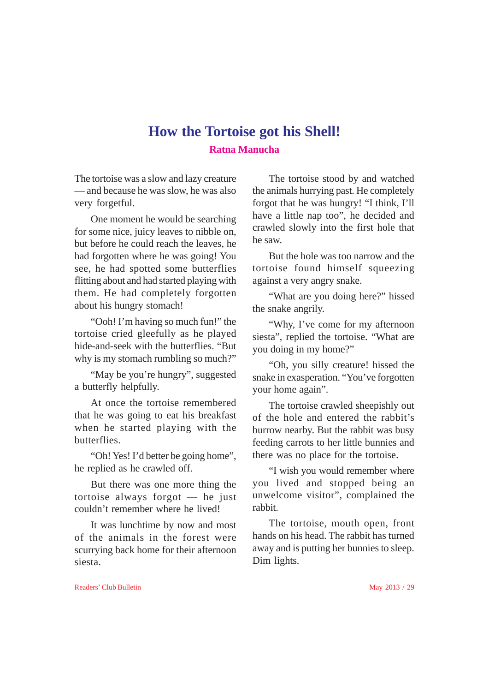## **How the Tortoise got his Shell! Ratna Manucha**

The tortoise was a slow and lazy creature — and because he was slow, he was also very forgetful.

One moment he would be searching for some nice, juicy leaves to nibble on, but before he could reach the leaves, he had forgotten where he was going! You see, he had spotted some butterflies flitting about and had started playing with them. He had completely forgotten about his hungry stomach!

"Ooh! I'm having so much fun!" the tortoise cried gleefully as he played hide-and-seek with the butterflies. "But why is my stomach rumbling so much?"

"May be you're hungry", suggested a butterfly helpfully.

At once the tortoise remembered that he was going to eat his breakfast when he started playing with the butterflies.

"Oh! Yes! I'd better be going home", he replied as he crawled off.

But there was one more thing the tortoise always forgot — he just couldn't remember where he lived!

It was lunchtime by now and most of the animals in the forest were scurrying back home for their afternoon siesta.

The tortoise stood by and watched the animals hurrying past. He completely forgot that he was hungry! "I think, I'll have a little nap too", he decided and crawled slowly into the first hole that he saw.

But the hole was too narrow and the tortoise found himself squeezing against a very angry snake.

"What are you doing here?" hissed the snake angrily.

"Why, I've come for my afternoon siesta", replied the tortoise. "What are you doing in my home?"

"Oh, you silly creature! hissed the snake in exasperation. "You've forgotten your home again".

The tortoise crawled sheepishly out of the hole and entered the rabbit's burrow nearby. But the rabbit was busy feeding carrots to her little bunnies and there was no place for the tortoise.

"I wish you would remember where you lived and stopped being an unwelcome visitor", complained the rabbit.

The tortoise, mouth open, front hands on his head. The rabbit has turned away and is putting her bunnies to sleep. Dim lights.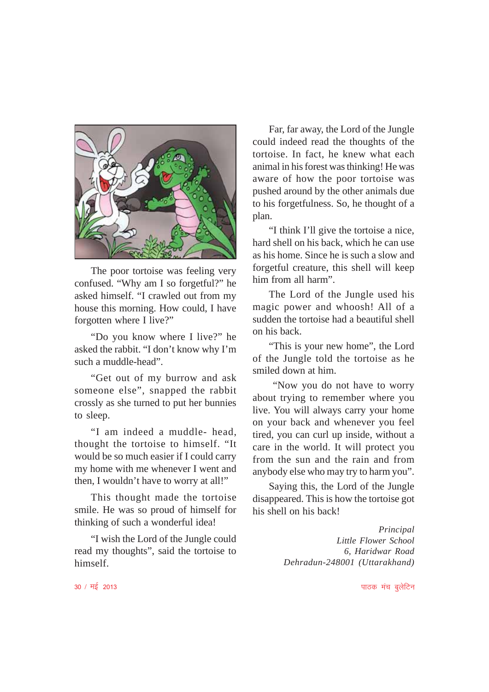

The poor tortoise was feeling very confused. "Why am I so forgetful?" he asked himself. "I crawled out from my house this morning. How could, I have forgotten where I live?"

"Do you know where I live?" he asked the rabbit. "I don't know why I'm such a muddle-head".

"Get out of my burrow and ask someone else", snapped the rabbit crossly as she turned to put her bunnies to sleep.

"I am indeed a muddle- head, thought the tortoise to himself. "It would be so much easier if I could carry my home with me whenever I went and then, I wouldn't have to worry at all!"

This thought made the tortoise smile. He was so proud of himself for thinking of such a wonderful idea!

"I wish the Lord of the Jungle could read my thoughts", said the tortoise to himself.

Far, far away, the Lord of the Jungle could indeed read the thoughts of the tortoise. In fact, he knew what each animal in his forest was thinking! He was aware of how the poor tortoise was pushed around by the other animals due to his forgetfulness. So, he thought of a plan.

"I think I'll give the tortoise a nice, hard shell on his back, which he can use as his home. Since he is such a slow and forgetful creature, this shell will keep him from all harm".

The Lord of the Jungle used his magic power and whoosh! All of a sudden the tortoise had a beautiful shell on his back.

"This is your new home", the Lord of the Jungle told the tortoise as he smiled down at him.

 "Now you do not have to worry about trying to remember where you live. You will always carry your home on your back and whenever you feel tired, you can curl up inside, without a care in the world. It will protect you from the sun and the rain and from anybody else who may try to harm you".

Saying this, the Lord of the Jungle disappeared. This is how the tortoise got his shell on his back!

> *Principal Little Flower School 6, Haridwar Road Dehradun-248001 (Uttarakhand)*

 $30$  / मई 2013 ikBd eap control in the case of the control in the case of the control in the case of the control in the control in the control in the control in the control in the control in the control in the control in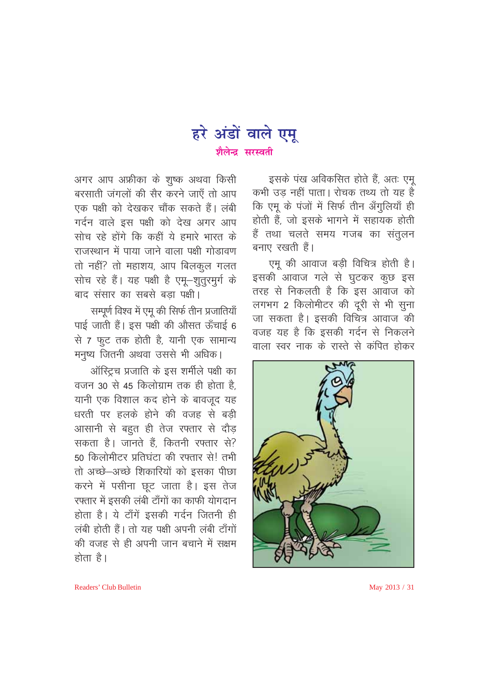## हरे अंडों वाले एमू शैलेन्द सरस्वती

अगर आप अफ्रीका के शुष्क अथवा किसी बरसाती जंगलों की सैर करने जाएँ तो आप एक पक्षी को देखकर चौंक सकते हैं। लंबी गर्दन वाले इस पक्षी को देख अगर आप सोच रहे होंगे कि कहीं ये हमारे भारत के राजस्थान में पाया जाने वाला पक्षी गोड़ावण तो नहीं? तो महाशय, आप बिलकूल गलत सोच रहे हैं। यह पक्षी है एमू-शुतुरमुर्ग के बाद संसार का सबसे बड़ा पक्षी।

सम्पूर्ण विश्व में एमू की सिर्फ तीन प्रजातियाँ पाई जाती हैं। इस पक्षी की ओसत ऊँचाई 6 से 7 फूट तक होती है, यानी एक सामान्य मनुष्य जितनी अथवा उससे भी अधिक।

ऑस्टिच प्रजाति के इस शर्मीले पक्षी का वजन 30 से 45 किलोग्राम तक ही होता है, यानी एक विशाल कद होने के बावजूद यह धरती पर हलके होने की वजह से बड़ी आसानी से बहुत ही तेज रफ्तार से दौड़ सकता है। जानते हैं, कितनी रफ्तार से? 50 किलोमीटर प्रतिघंटा की रफ्तार से! तभी तो अच्छे–अच्छे शिकारियों को इसका पीछा करने में पसीना छूट जाता है। इस तेज रफ्तार में इसकी लंबी टाँगों का काफी योगदान होता है। ये टाँगें इसकी गर्दन जितनी ही लंबी होती हैं। तो यह पक्षी अपनी लंबी टाँगों की वजह से ही अपनी जान बचाने में सक्षम होता है।

इसके पंख अविकसित होते हैं, अतः एम् कभी उड़ नहीं पाता। रोचक तथ्य तो यह है कि एमू के पंजों में सिर्फ तीन अँगुलियाँ ही होती हैं, जो इसके भागने में सहायक होती हैं तथा चलते समय गजब का संतुलन बनाए रखती हैं।

एम् की आवाज बड़ी विचित्र होती है। इसकी आवाज गले से घूटकर कूछ इस तरह से निकलती है कि इस आवाज को लगभग 2 किलोमीटर की दूरी से भी सूना जा सकता है। इसकी विचित्र आवाज की वजह यह है कि इसकी गर्दन से निकलने वाला स्वर नाक के रास्ते से कंपित होकर

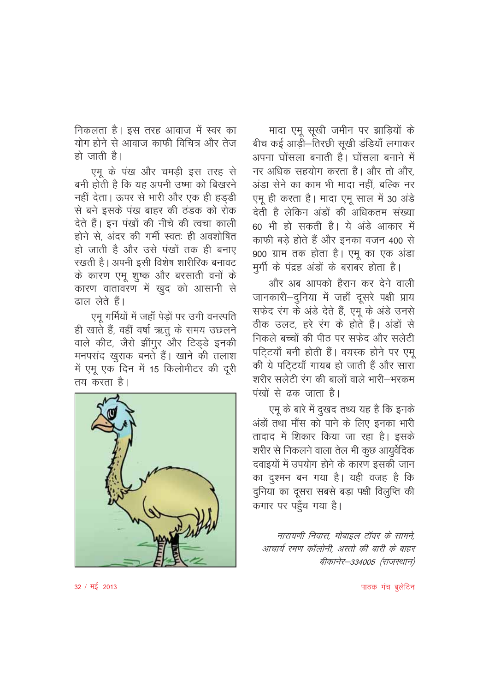निकलता है। इस तरह आवाज में स्वर का योग होने से आवाज काफी विचित्र और तेज हो जाती है।

एमू के पंख और चमड़ी इस तरह से बनी होती है कि यह अपनी उष्मा को बिखरने नहीं देता। ऊपर से भारी और एक ही हड़डी से बने इसके पंख बाहर की ठंडक को रोक देते हैं। इन पंखों की नीचे की त्वचा काली होने से. अंदर की गर्मी स्वतः ही अवशोषित हो जाती है और उसे पंखों तक ही बनाए रखती है। अपनी इसी विशेष शारीरिक बनावट के कारण एमू शुष्क और बरसाती वनों के कारण वातावरण में खुद को आसानी से हाल लेते हैं।

एमू गर्मियों में जहाँ पेड़ों पर उगी वनस्पति ही खाते हैं, वहीं वर्षा ऋतू के समय उछलने वाले कीट, जैसे झींगूर और टिड़डे इनकी मनपसंद खुराक बनते हैं। खाने की तलाश में एमू एक दिन में 15 किलोमीटर की दूरी तय करता है।



मादा एमू सूखी जमीन पर झाड़ियों के बीच कई आड़ी–तिरछी सूखी डंडियाँ लगाकर अपना घोंसला बनाती है। घोंसला बनाने में नर अधिक सहयोग करता है। और तो और अंडा सेने का काम भी मादा नहीं. बल्कि नर एमू ही करता है। मादा एमू साल में 30 अंडे देती है लेकिन अंडों की अधिकतम संख्या 60 भी हो सकती है। ये अंडे आकार में काफी बड़े होते हैं और इनका वजन 400 से 900 ग्राम तक होता है। एमू का एक अंडा मुर्गी के पंद्रह अंडों के बराबर होता है।

और अब आपको हैरान कर देने वाली जानकारी-दुनिया में जहाँ दूसरे पक्षी प्राय सफेद रंग के अंडे देते हैं, एमू के अंडे उनसे ठीक उलट. हरे रंग के होते हैं। अंडों से निकले बच्चों की पीठ पर सफेद और सलेटी पटि्टयाँ बनी होती हैं। वयस्क होने पर एमू की ये पटि़टयाँ गायब हो जाती हैं और सारा शरीर सलेटी रंग की बालों वाले भारी–भरकम पंखों से ढक जाता है।

एमू के बारे में दुखद तथ्य यह है कि इनके अंडों तथा माँस को पाने के लिए इनका भारी तादाद में शिकार किया जा रहा है। इसके शरीर से निकलने वाला तेल भी कूछ आयुर्वेदिक दवाइयों में उपयोग होने के कारण इसकी जान का दुश्मन बन गया है। यही वजह है कि दुनिया का दूसरा सबसे बड़ा पक्षी विलुप्ति की कगार पर पहुँच गया है।

नारायणी निवास. मोबाइल टॉवर के सामने. आचार्य रमण कॉलोनी, अस्तो की बारी के बाहर बीकानेर–334005 (राजस्थान)

 $32 / H<sup>2</sup>$  2013

पाठक मंच बुलेटिन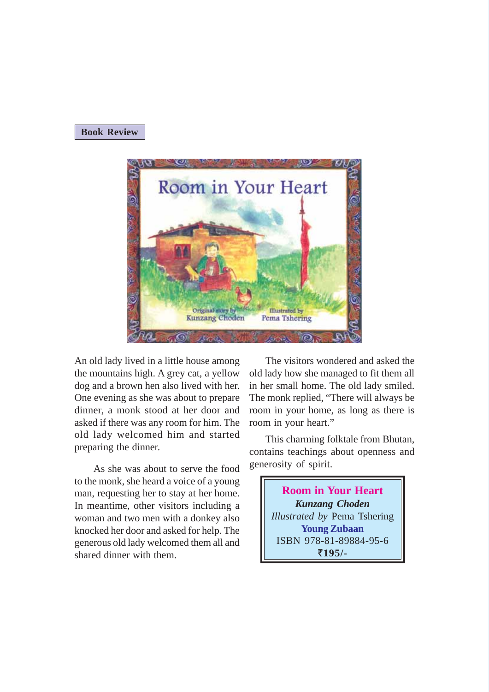#### **Book Review**



An old lady lived in a little house among the mountains high. A grey cat, a yellow dog and a brown hen also lived with her. One evening as she was about to prepare dinner, a monk stood at her door and asked if there was any room for him. The old lady welcomed him and started preparing the dinner.

 As she was about to serve the food to the monk, she heard a voice of a young man, requesting her to stay at her home. In meantime, other visitors including a woman and two men with a donkey also knocked her door and asked for help. The generous old lady welcomed them all and shared dinner with them.

The visitors wondered and asked the old lady how she managed to fit them all in her small home. The old lady smiled. The monk replied, "There will always be room in your home, as long as there is room in your heart."

This charming folktale from Bhutan, contains teachings about openness and generosity of spirit.

> **Room in Your Heart** *Kunzang Choden Illustrated by* Pema Tshering **Young Zubaan** ISBN 978-81-89884-95-6 `**195/-**